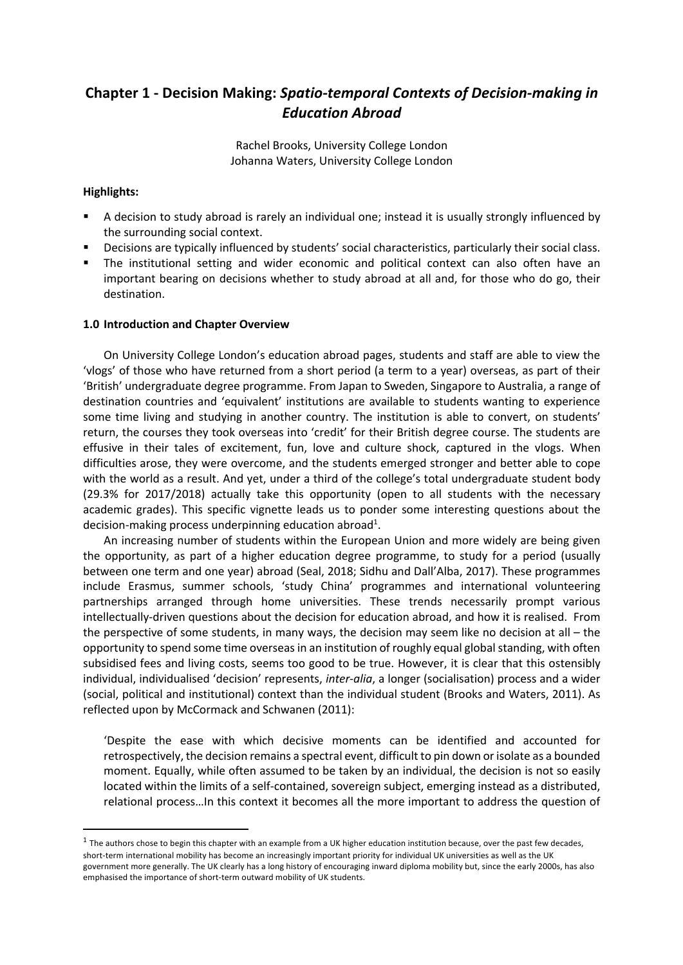# **Chapter 1 - Decision Making:** *Spatio-temporal Contexts of Decision-making in Education Abroad*

Rachel Brooks, University College London Johanna Waters, University College London

# **Highlights:**

- § A decision to study abroad is rarely an individual one; instead it is usually strongly influenced by the surrounding social context.
- Decisions are typically influenced by students' social characteristics, particularly their social class.
- The institutional setting and wider economic and political context can also often have an important bearing on decisions whether to study abroad at all and, for those who do go, their destination.

# **1.0 Introduction and Chapter Overview**

On University College London's education abroad pages, students and staff are able to view the 'vlogs' of those who have returned from a short period (a term to a year) overseas, as part of their 'British' undergraduate degree programme. From Japan to Sweden, Singapore to Australia, a range of destination countries and 'equivalent' institutions are available to students wanting to experience some time living and studying in another country. The institution is able to convert, on students' return, the courses they took overseas into 'credit' for their British degree course. The students are effusive in their tales of excitement, fun, love and culture shock, captured in the vlogs. When difficulties arose, they were overcome, and the students emerged stronger and better able to cope with the world as a result. And yet, under a third of the college's total undergraduate student body (29.3% for 2017/2018) actually take this opportunity (open to all students with the necessary academic grades). This specific vignette leads us to ponder some interesting questions about the decision-making process underpinning education abroad<sup>1</sup>.

An increasing number of students within the European Union and more widely are being given the opportunity, as part of a higher education degree programme, to study for a period (usually between one term and one year) abroad (Seal, 2018; Sidhu and Dall'Alba, 2017). These programmes include Erasmus, summer schools, 'study China' programmes and international volunteering partnerships arranged through home universities. These trends necessarily prompt various intellectually-driven questions about the decision for education abroad, and how it is realised. From the perspective of some students, in many ways, the decision may seem like no decision at all – the opportunity to spend some time overseas in an institution of roughly equal global standing, with often subsidised fees and living costs, seems too good to be true. However, it is clear that this ostensibly individual, individualised 'decision' represents, *inter-alia*, a longer (socialisation) process and a wider (social, political and institutional) context than the individual student (Brooks and Waters, 2011). As reflected upon by McCormack and Schwanen (2011):

'Despite the ease with which decisive moments can be identified and accounted for retrospectively, the decision remains a spectral event, difficult to pin down or isolate as a bounded moment. Equally, while often assumed to be taken by an individual, the decision is not so easily located within the limits of a self-contained, sovereign subject, emerging instead as a distributed, relational process…In this context it becomes all the more important to address the question of

 $1$  The authors chose to begin this chapter with an example from a UK higher education institution because, over the past few decades, short-term international mobility has become an increasingly important priority for individual UK universities as well as the UK government more generally. The UK clearly has a long history of encouraging inward diploma mobility but, since the early 2000s, has also emphasised the importance of short-term outward mobility of UK students.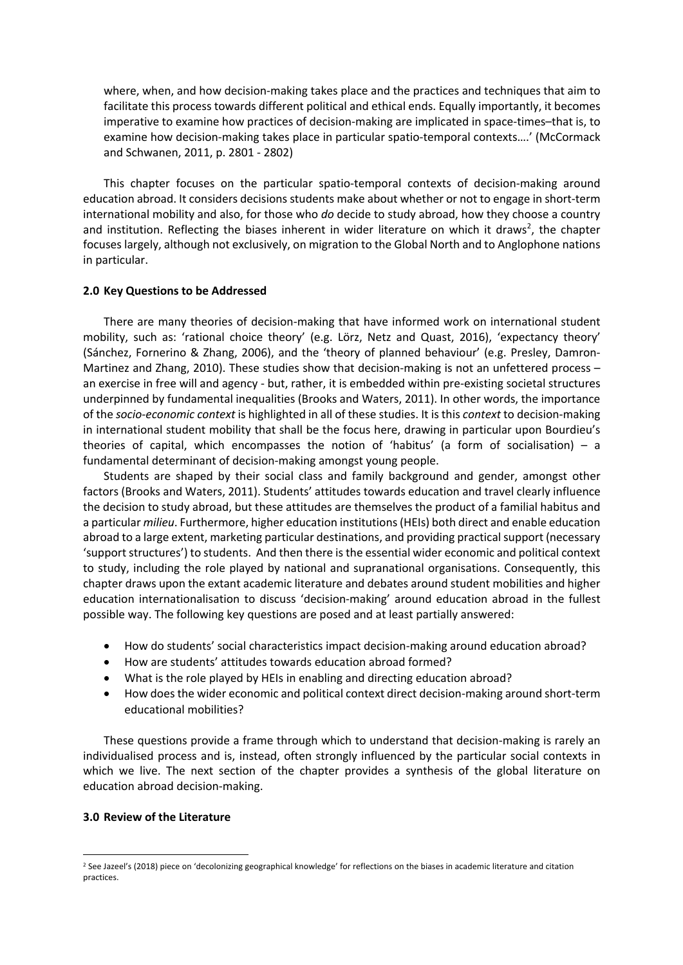where, when, and how decision-making takes place and the practices and techniques that aim to facilitate this process towards different political and ethical ends. Equally importantly, it becomes imperative to examine how practices of decision-making are implicated in space-times–that is, to examine how decision-making takes place in particular spatio-temporal contexts….' (McCormack and Schwanen, 2011, p. 2801 - 2802)

This chapter focuses on the particular spatio-temporal contexts of decision-making around education abroad. It considers decisions students make about whether or not to engage in short-term international mobility and also, for those who *do* decide to study abroad, how they choose a country and institution. Reflecting the biases inherent in wider literature on which it draws<sup>2</sup>, the chapter focuses largely, although not exclusively, on migration to the Global North and to Anglophone nations in particular.

# **2.0 Key Questions to be Addressed**

There are many theories of decision-making that have informed work on international student mobility, such as: 'rational choice theory' (e.g. Lörz, Netz and Quast, 2016), 'expectancy theory' (Sánchez, Fornerino & Zhang, 2006), and the 'theory of planned behaviour' (e.g. Presley, Damron-Martinez and Zhang, 2010). These studies show that decision-making is not an unfettered process – an exercise in free will and agency - but, rather, it is embedded within pre-existing societal structures underpinned by fundamental inequalities (Brooks and Waters, 2011). In other words, the importance of the *socio-economic context* is highlighted in all of these studies. It is this *context* to decision-making in international student mobility that shall be the focus here, drawing in particular upon Bourdieu's theories of capital, which encompasses the notion of 'habitus' (a form of socialisation) – a fundamental determinant of decision-making amongst young people.

Students are shaped by their social class and family background and gender, amongst other factors (Brooks and Waters, 2011). Students' attitudes towards education and travel clearly influence the decision to study abroad, but these attitudes are themselves the product of a familial habitus and a particular *milieu*. Furthermore, higher education institutions (HEIs) both direct and enable education abroad to a large extent, marketing particular destinations, and providing practical support (necessary 'support structures') to students. And then there is the essential wider economic and political context to study, including the role played by national and supranational organisations. Consequently, this chapter draws upon the extant academic literature and debates around student mobilities and higher education internationalisation to discuss 'decision-making' around education abroad in the fullest possible way. The following key questions are posed and at least partially answered:

- How do students' social characteristics impact decision-making around education abroad?
- How are students' attitudes towards education abroad formed?
- What is the role played by HEIs in enabling and directing education abroad?
- How does the wider economic and political context direct decision-making around short-term educational mobilities?

These questions provide a frame through which to understand that decision-making is rarely an individualised process and is, instead, often strongly influenced by the particular social contexts in which we live. The next section of the chapter provides a synthesis of the global literature on education abroad decision-making.

# **3.0 Review of the Literature**

<sup>&</sup>lt;sup>2</sup> See Jazeel's (2018) piece on 'decolonizing geographical knowledge' for reflections on the biases in academic literature and citation practices.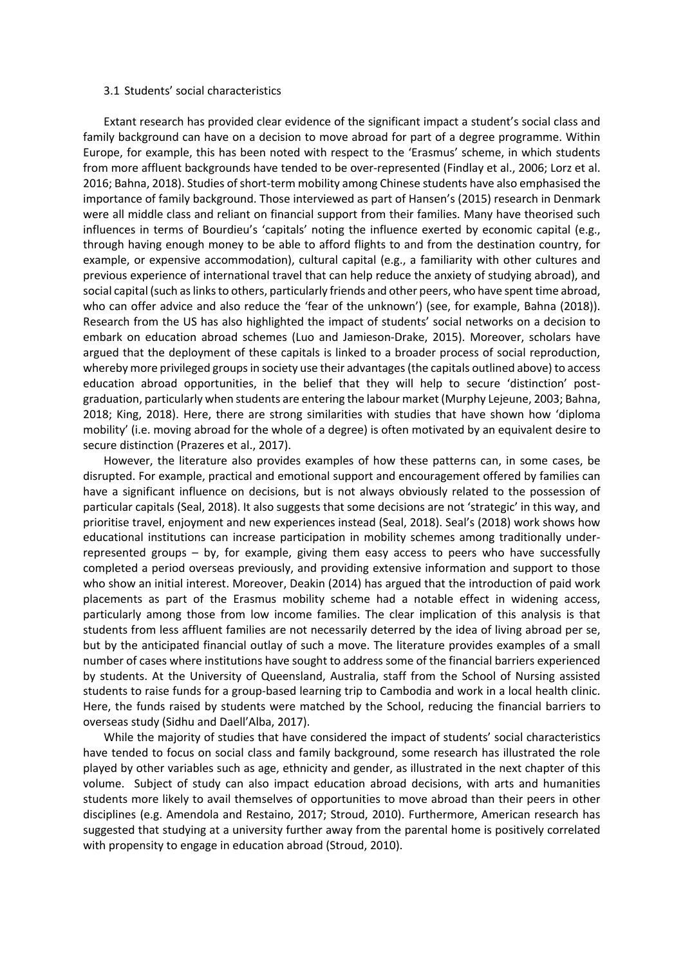## 3.1 Students' social characteristics

Extant research has provided clear evidence of the significant impact a student's social class and family background can have on a decision to move abroad for part of a degree programme. Within Europe, for example, this has been noted with respect to the 'Erasmus' scheme, in which students from more affluent backgrounds have tended to be over-represented (Findlay et al., 2006; Lorz et al. 2016; Bahna, 2018). Studies of short-term mobility among Chinese students have also emphasised the importance of family background. Those interviewed as part of Hansen's (2015) research in Denmark were all middle class and reliant on financial support from their families. Many have theorised such influences in terms of Bourdieu's 'capitals' noting the influence exerted by economic capital (e.g., through having enough money to be able to afford flights to and from the destination country, for example, or expensive accommodation), cultural capital (e.g., a familiarity with other cultures and previous experience of international travel that can help reduce the anxiety of studying abroad), and social capital (such as links to others, particularly friends and other peers, who have spent time abroad, who can offer advice and also reduce the 'fear of the unknown') (see, for example, Bahna (2018)). Research from the US has also highlighted the impact of students' social networks on a decision to embark on education abroad schemes (Luo and Jamieson-Drake, 2015). Moreover, scholars have argued that the deployment of these capitals is linked to a broader process of social reproduction, whereby more privileged groups in society use their advantages (the capitals outlined above) to access education abroad opportunities, in the belief that they will help to secure 'distinction' postgraduation, particularly when students are entering the labour market (Murphy Lejeune, 2003; Bahna, 2018; King, 2018). Here, there are strong similarities with studies that have shown how 'diploma mobility' (i.e. moving abroad for the whole of a degree) is often motivated by an equivalent desire to secure distinction (Prazeres et al., 2017).

However, the literature also provides examples of how these patterns can, in some cases, be disrupted. For example, practical and emotional support and encouragement offered by families can have a significant influence on decisions, but is not always obviously related to the possession of particular capitals (Seal, 2018). It also suggests that some decisions are not 'strategic' in this way, and prioritise travel, enjoyment and new experiences instead (Seal, 2018). Seal's (2018) work shows how educational institutions can increase participation in mobility schemes among traditionally underrepresented groups – by, for example, giving them easy access to peers who have successfully completed a period overseas previously, and providing extensive information and support to those who show an initial interest. Moreover, Deakin (2014) has argued that the introduction of paid work placements as part of the Erasmus mobility scheme had a notable effect in widening access, particularly among those from low income families. The clear implication of this analysis is that students from less affluent families are not necessarily deterred by the idea of living abroad per se, but by the anticipated financial outlay of such a move. The literature provides examples of a small number of cases where institutions have sought to address some of the financial barriers experienced by students. At the University of Queensland, Australia, staff from the School of Nursing assisted students to raise funds for a group-based learning trip to Cambodia and work in a local health clinic. Here, the funds raised by students were matched by the School, reducing the financial barriers to overseas study (Sidhu and Daell'Alba, 2017).

While the majority of studies that have considered the impact of students' social characteristics have tended to focus on social class and family background, some research has illustrated the role played by other variables such as age, ethnicity and gender, as illustrated in the next chapter of this volume. Subject of study can also impact education abroad decisions, with arts and humanities students more likely to avail themselves of opportunities to move abroad than their peers in other disciplines (e.g. Amendola and Restaino, 2017; Stroud, 2010). Furthermore, American research has suggested that studying at a university further away from the parental home is positively correlated with propensity to engage in education abroad (Stroud, 2010).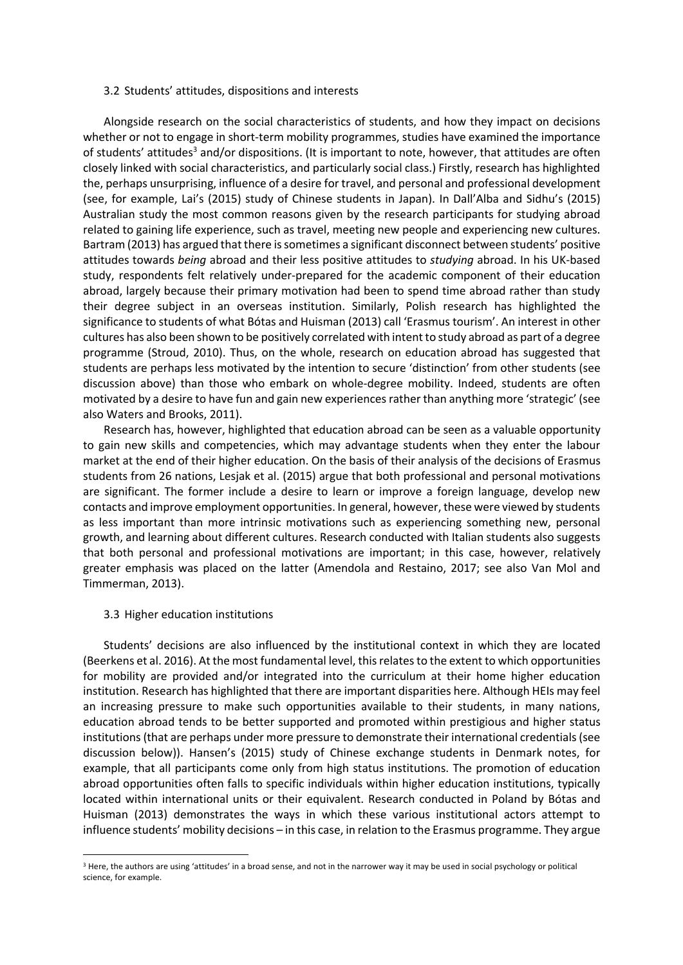#### 3.2 Students' attitudes, dispositions and interests

Alongside research on the social characteristics of students, and how they impact on decisions whether or not to engage in short-term mobility programmes, studies have examined the importance of students' attitudes<sup>3</sup> and/or dispositions. (It is important to note, however, that attitudes are often closely linked with social characteristics, and particularly social class.) Firstly, research has highlighted the, perhaps unsurprising, influence of a desire for travel, and personal and professional development (see, for example, Lai's (2015) study of Chinese students in Japan). In Dall'Alba and Sidhu's (2015) Australian study the most common reasons given by the research participants for studying abroad related to gaining life experience, such as travel, meeting new people and experiencing new cultures. Bartram (2013) has argued that there is sometimes a significant disconnect between students' positive attitudes towards *being* abroad and their less positive attitudes to *studying* abroad. In his UK-based study, respondents felt relatively under-prepared for the academic component of their education abroad, largely because their primary motivation had been to spend time abroad rather than study their degree subject in an overseas institution. Similarly, Polish research has highlighted the significance to students of what Bótas and Huisman (2013) call 'Erasmus tourism'. An interest in other cultures has also been shown to be positively correlated with intent to study abroad as part of a degree programme (Stroud, 2010). Thus, on the whole, research on education abroad has suggested that students are perhaps less motivated by the intention to secure 'distinction' from other students (see discussion above) than those who embark on whole-degree mobility. Indeed, students are often motivated by a desire to have fun and gain new experiences rather than anything more 'strategic' (see also Waters and Brooks, 2011).

Research has, however, highlighted that education abroad can be seen as a valuable opportunity to gain new skills and competencies, which may advantage students when they enter the labour market at the end of their higher education. On the basis of their analysis of the decisions of Erasmus students from 26 nations, Lesjak et al. (2015) argue that both professional and personal motivations are significant. The former include a desire to learn or improve a foreign language, develop new contacts and improve employment opportunities. In general, however, these were viewed by students as less important than more intrinsic motivations such as experiencing something new, personal growth, and learning about different cultures. Research conducted with Italian students also suggests that both personal and professional motivations are important; in this case, however, relatively greater emphasis was placed on the latter (Amendola and Restaino, 2017; see also Van Mol and Timmerman, 2013).

#### 3.3 Higher education institutions

Students' decisions are also influenced by the institutional context in which they are located (Beerkens et al. 2016). At the most fundamental level, this relates to the extent to which opportunities for mobility are provided and/or integrated into the curriculum at their home higher education institution. Research has highlighted that there are important disparities here. Although HEIs may feel an increasing pressure to make such opportunities available to their students, in many nations, education abroad tends to be better supported and promoted within prestigious and higher status institutions (that are perhaps under more pressure to demonstrate their international credentials (see discussion below)). Hansen's (2015) study of Chinese exchange students in Denmark notes, for example, that all participants come only from high status institutions. The promotion of education abroad opportunities often falls to specific individuals within higher education institutions, typically located within international units or their equivalent. Research conducted in Poland by Bótas and Huisman (2013) demonstrates the ways in which these various institutional actors attempt to influence students' mobility decisions – in this case, in relation to the Erasmus programme. They argue

<sup>&</sup>lt;sup>3</sup> Here, the authors are using 'attitudes' in a broad sense, and not in the narrower way it may be used in social psychology or political science, for example.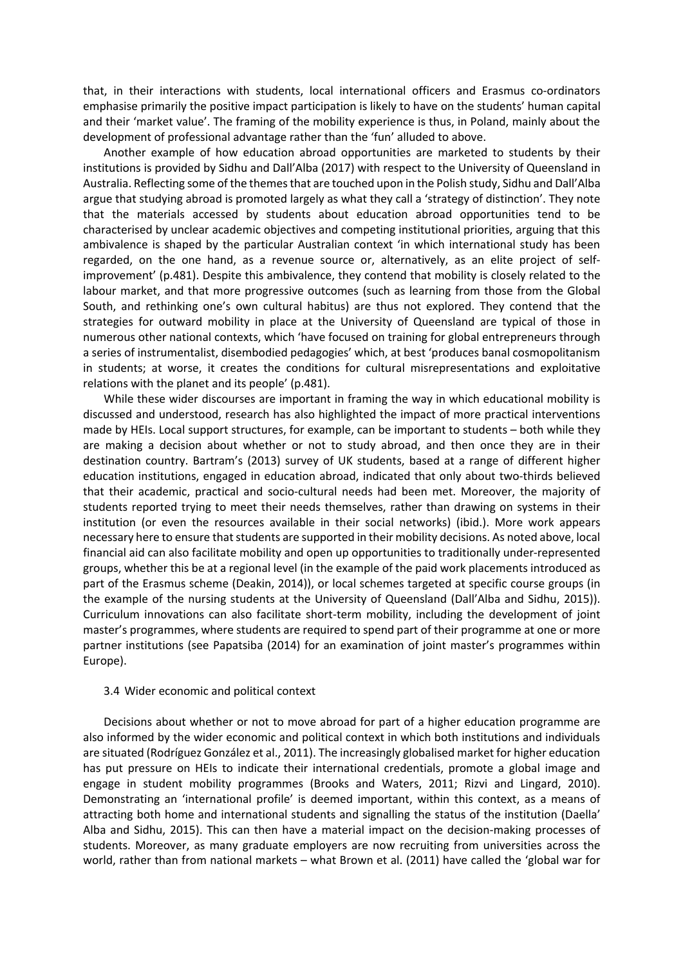that, in their interactions with students, local international officers and Erasmus co-ordinators emphasise primarily the positive impact participation is likely to have on the students' human capital and their 'market value'. The framing of the mobility experience is thus, in Poland, mainly about the development of professional advantage rather than the 'fun' alluded to above.

Another example of how education abroad opportunities are marketed to students by their institutions is provided by Sidhu and Dall'Alba (2017) with respect to the University of Queensland in Australia. Reflecting some of the themes that are touched upon in the Polish study, Sidhu and Dall'Alba argue that studying abroad is promoted largely as what they call a 'strategy of distinction'. They note that the materials accessed by students about education abroad opportunities tend to be characterised by unclear academic objectives and competing institutional priorities, arguing that this ambivalence is shaped by the particular Australian context 'in which international study has been regarded, on the one hand, as a revenue source or, alternatively, as an elite project of selfimprovement' (p.481). Despite this ambivalence, they contend that mobility is closely related to the labour market, and that more progressive outcomes (such as learning from those from the Global South, and rethinking one's own cultural habitus) are thus not explored. They contend that the strategies for outward mobility in place at the University of Queensland are typical of those in numerous other national contexts, which 'have focused on training for global entrepreneurs through a series of instrumentalist, disembodied pedagogies' which, at best 'produces banal cosmopolitanism in students; at worse, it creates the conditions for cultural misrepresentations and exploitative relations with the planet and its people' (p.481).

While these wider discourses are important in framing the way in which educational mobility is discussed and understood, research has also highlighted the impact of more practical interventions made by HEIs. Local support structures, for example, can be important to students – both while they are making a decision about whether or not to study abroad, and then once they are in their destination country. Bartram's (2013) survey of UK students, based at a range of different higher education institutions, engaged in education abroad, indicated that only about two-thirds believed that their academic, practical and socio-cultural needs had been met. Moreover, the majority of students reported trying to meet their needs themselves, rather than drawing on systems in their institution (or even the resources available in their social networks) (ibid.). More work appears necessary here to ensure that students are supported in their mobility decisions. As noted above, local financial aid can also facilitate mobility and open up opportunities to traditionally under-represented groups, whether this be at a regional level (in the example of the paid work placements introduced as part of the Erasmus scheme (Deakin, 2014)), or local schemes targeted at specific course groups (in the example of the nursing students at the University of Queensland (Dall'Alba and Sidhu, 2015)). Curriculum innovations can also facilitate short-term mobility, including the development of joint master's programmes, where students are required to spend part of their programme at one or more partner institutions (see Papatsiba (2014) for an examination of joint master's programmes within Europe).

#### 3.4 Wider economic and political context

Decisions about whether or not to move abroad for part of a higher education programme are also informed by the wider economic and political context in which both institutions and individuals are situated (Rodríguez González et al., 2011). The increasingly globalised market for higher education has put pressure on HEIs to indicate their international credentials, promote a global image and engage in student mobility programmes (Brooks and Waters, 2011; Rizvi and Lingard, 2010). Demonstrating an 'international profile' is deemed important, within this context, as a means of attracting both home and international students and signalling the status of the institution (Daella' Alba and Sidhu, 2015). This can then have a material impact on the decision-making processes of students. Moreover, as many graduate employers are now recruiting from universities across the world, rather than from national markets – what Brown et al. (2011) have called the 'global war for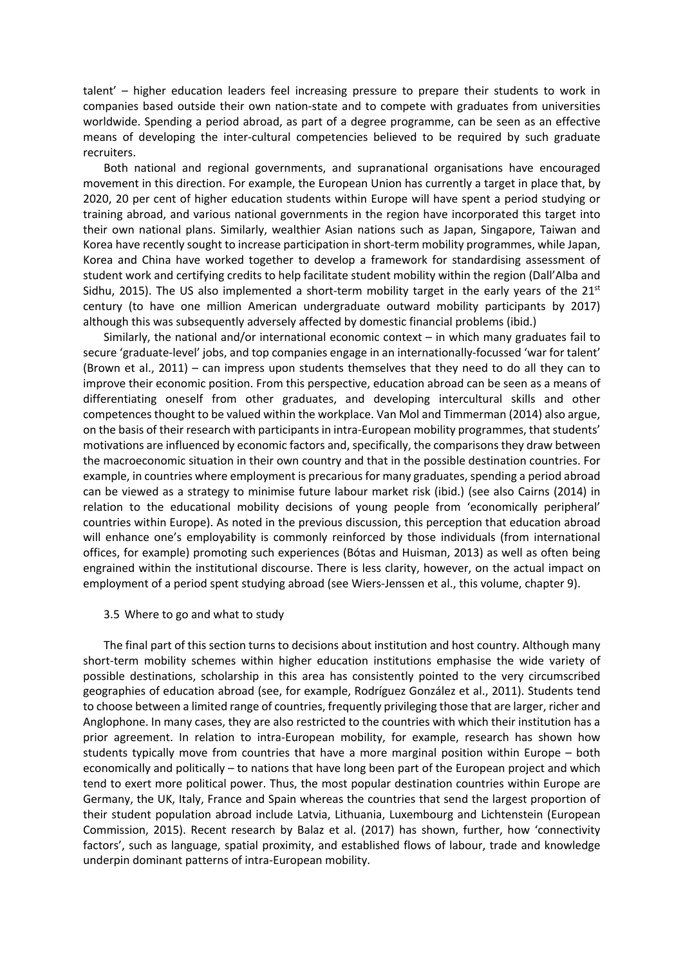talent' – higher education leaders feel increasing pressure to prepare their students to work in companies based outside their own nation-state and to compete with graduates from universities worldwide. Spending a period abroad, as part of a degree programme, can be seen as an effective means of developing the inter-cultural competencies believed to be required by such graduate recruiters.

Both national and regional governments, and supranational organisations have encouraged movement in this direction. For example, the European Union has currently a target in place that, by 2020, 20 per cent of higher education students within Europe will have spent a period studying or training abroad, and various national governments in the region have incorporated this target into their own national plans. Similarly, wealthier Asian nations such as Japan, Singapore, Taiwan and Korea have recently sought to increase participation in short-term mobility programmes, while Japan, Korea and China have worked together to develop a framework for standardising assessment of student work and certifying credits to help facilitate student mobility within the region (Dall'Alba and Sidhu, 2015). The US also implemented a short-term mobility target in the early years of the  $21<sup>st</sup>$ century (to have one million American undergraduate outward mobility participants by 2017) although this was subsequently adversely affected by domestic financial problems (ibid.)

Similarly, the national and/or international economic context – in which many graduates fail to secure 'graduate-level' jobs, and top companies engage in an internationally-focussed 'war for talent' (Brown et al., 2011) – can impress upon students themselves that they need to do all they can to improve their economic position. From this perspective, education abroad can be seen as a means of differentiating oneself from other graduates, and developing intercultural skills and other competences thought to be valued within the workplace. Van Mol and Timmerman (2014) also argue, on the basis of their research with participants in intra-European mobility programmes, that students' motivations are influenced by economic factors and, specifically, the comparisons they draw between the macroeconomic situation in their own country and that in the possible destination countries. For example, in countries where employment is precarious for many graduates, spending a period abroad can be viewed as a strategy to minimise future labour market risk (ibid.) (see also Cairns (2014) in relation to the educational mobility decisions of young people from 'economically peripheral' countries within Europe). As noted in the previous discussion, this perception that education abroad will enhance one's employability is commonly reinforced by those individuals (from international offices, for example) promoting such experiences (Bótas and Huisman, 2013) as well as often being engrained within the institutional discourse. There is less clarity, however, on the actual impact on employment of a period spent studying abroad (see Wiers-Jenssen et al., this volume, chapter 9).

# 3.5 Where to go and what to study

The final part of this section turns to decisions about institution and host country. Although many short-term mobility schemes within higher education institutions emphasise the wide variety of possible destinations, scholarship in this area has consistently pointed to the very circumscribed geographies of education abroad (see, for example, Rodríguez González et al., 2011). Students tend to choose between a limited range of countries, frequently privileging those that are larger, richer and Anglophone. In many cases, they are also restricted to the countries with which their institution has a prior agreement. In relation to intra-European mobility, for example, research has shown how students typically move from countries that have a more marginal position within Europe – both economically and politically – to nations that have long been part of the European project and which tend to exert more political power. Thus, the most popular destination countries within Europe are Germany, the UK, Italy, France and Spain whereas the countries that send the largest proportion of their student population abroad include Latvia, Lithuania, Luxembourg and Lichtenstein (European Commission, 2015). Recent research by Balaz et al. (2017) has shown, further, how 'connectivity factors', such as language, spatial proximity, and established flows of labour, trade and knowledge underpin dominant patterns of intra-European mobility.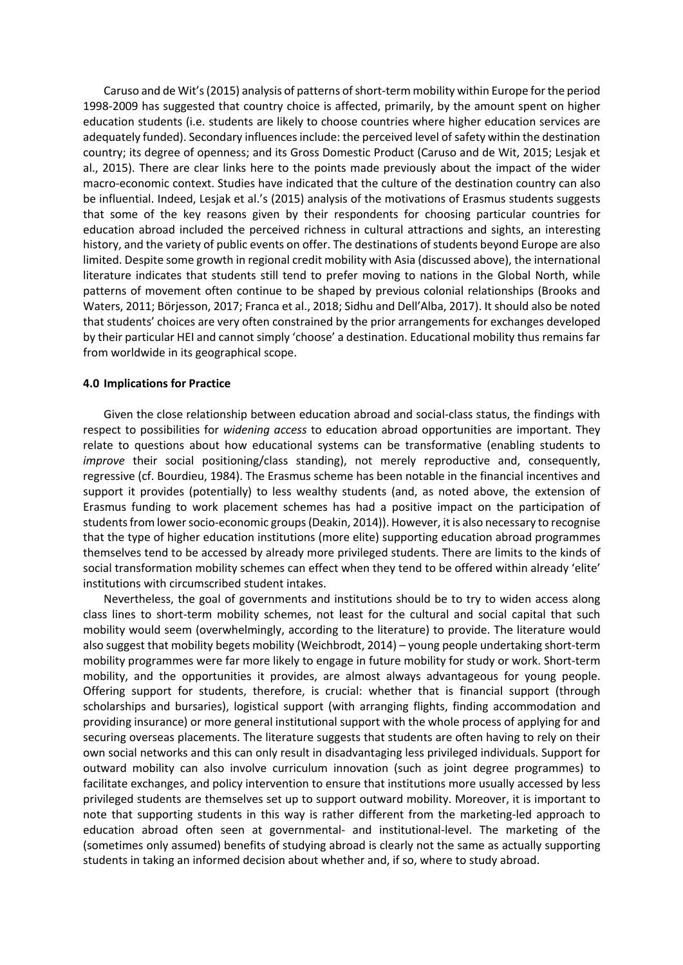Caruso and de Wit's (2015) analysis of patterns of short-term mobility within Europe for the period 1998-2009 has suggested that country choice is affected, primarily, by the amount spent on higher education students (i.e. students are likely to choose countries where higher education services are adequately funded). Secondary influences include: the perceived level of safety within the destination country; its degree of openness; and its Gross Domestic Product (Caruso and de Wit, 2015; Lesjak et al., 2015). There are clear links here to the points made previously about the impact of the wider macro-economic context. Studies have indicated that the culture of the destination country can also be influential. Indeed, Lesjak et al.'s (2015) analysis of the motivations of Erasmus students suggests that some of the key reasons given by their respondents for choosing particular countries for education abroad included the perceived richness in cultural attractions and sights, an interesting history, and the variety of public events on offer. The destinations of students beyond Europe are also limited. Despite some growth in regional credit mobility with Asia (discussed above), the international literature indicates that students still tend to prefer moving to nations in the Global North, while patterns of movement often continue to be shaped by previous colonial relationships (Brooks and Waters, 2011; Börjesson, 2017; Franca et al., 2018; Sidhu and Dell'Alba, 2017). It should also be noted that students' choices are very often constrained by the prior arrangements for exchanges developed by their particular HEI and cannot simply 'choose' a destination. Educational mobility thus remains far from worldwide in its geographical scope.

## **4.0 Implications for Practice**

Given the close relationship between education abroad and social-class status, the findings with respect to possibilities for *widening access* to education abroad opportunities are important. They relate to questions about how educational systems can be transformative (enabling students to *improve* their social positioning/class standing), not merely reproductive and, consequently, regressive (cf. Bourdieu, 1984). The Erasmus scheme has been notable in the financial incentives and support it provides (potentially) to less wealthy students (and, as noted above, the extension of Erasmus funding to work placement schemes has had a positive impact on the participation of students from lower socio-economic groups (Deakin, 2014)). However, it is also necessary to recognise that the type of higher education institutions (more elite) supporting education abroad programmes themselves tend to be accessed by already more privileged students. There are limits to the kinds of social transformation mobility schemes can effect when they tend to be offered within already 'elite' institutions with circumscribed student intakes.

Nevertheless, the goal of governments and institutions should be to try to widen access along class lines to short-term mobility schemes, not least for the cultural and social capital that such mobility would seem (overwhelmingly, according to the literature) to provide. The literature would also suggest that mobility begets mobility (Weichbrodt, 2014) – young people undertaking short-term mobility programmes were far more likely to engage in future mobility for study or work. Short-term mobility, and the opportunities it provides, are almost always advantageous for young people. Offering support for students, therefore, is crucial: whether that is financial support (through scholarships and bursaries), logistical support (with arranging flights, finding accommodation and providing insurance) or more general institutional support with the whole process of applying for and securing overseas placements. The literature suggests that students are often having to rely on their own social networks and this can only result in disadvantaging less privileged individuals. Support for outward mobility can also involve curriculum innovation (such as joint degree programmes) to facilitate exchanges, and policy intervention to ensure that institutions more usually accessed by less privileged students are themselves set up to support outward mobility. Moreover, it is important to note that supporting students in this way is rather different from the marketing-led approach to education abroad often seen at governmental- and institutional-level. The marketing of the (sometimes only assumed) benefits of studying abroad is clearly not the same as actually supporting students in taking an informed decision about whether and, if so, where to study abroad.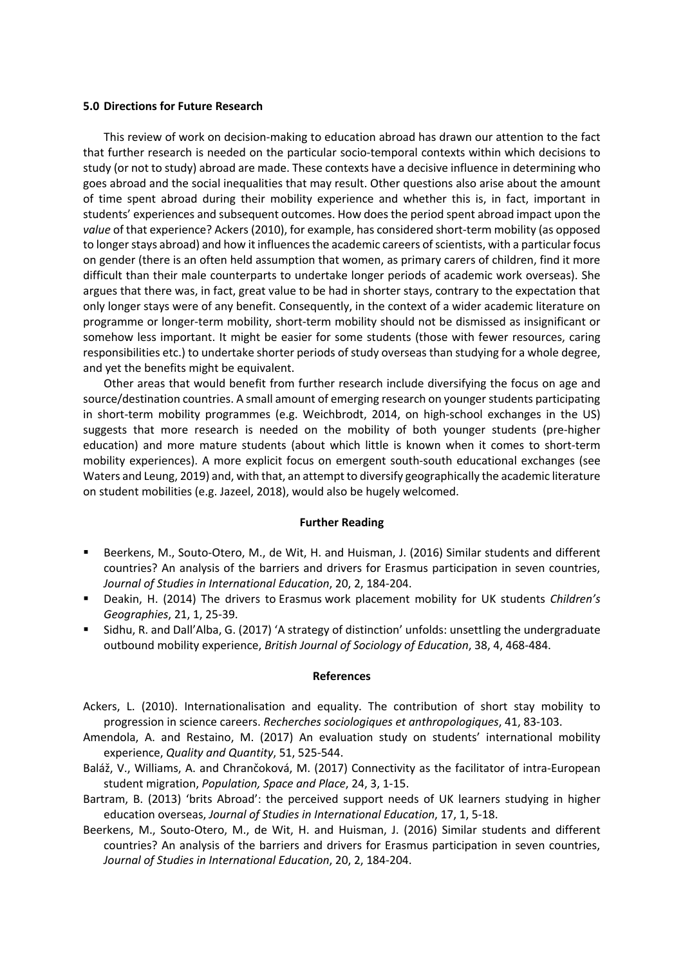## **5.0 Directions for Future Research**

This review of work on decision-making to education abroad has drawn our attention to the fact that further research is needed on the particular socio-temporal contexts within which decisions to study (or not to study) abroad are made. These contexts have a decisive influence in determining who goes abroad and the social inequalities that may result. Other questions also arise about the amount of time spent abroad during their mobility experience and whether this is, in fact, important in students' experiences and subsequent outcomes. How does the period spent abroad impact upon the *value* of that experience? Ackers (2010), for example, has considered short-term mobility (as opposed to longer stays abroad) and how it influences the academic careers of scientists, with a particular focus on gender (there is an often held assumption that women, as primary carers of children, find it more difficult than their male counterparts to undertake longer periods of academic work overseas). She argues that there was, in fact, great value to be had in shorter stays, contrary to the expectation that only longer stays were of any benefit. Consequently, in the context of a wider academic literature on programme or longer-term mobility, short-term mobility should not be dismissed as insignificant or somehow less important. It might be easier for some students (those with fewer resources, caring responsibilities etc.) to undertake shorter periods of study overseas than studying for a whole degree, and yet the benefits might be equivalent.

Other areas that would benefit from further research include diversifying the focus on age and source/destination countries. A small amount of emerging research on younger students participating in short-term mobility programmes (e.g. Weichbrodt, 2014, on high-school exchanges in the US) suggests that more research is needed on the mobility of both younger students (pre-higher education) and more mature students (about which little is known when it comes to short-term mobility experiences). A more explicit focus on emergent south-south educational exchanges (see Waters and Leung, 2019) and, with that, an attempt to diversify geographically the academic literature on student mobilities (e.g. Jazeel, 2018), would also be hugely welcomed.

# **Further Reading**

- Beerkens, M., Souto-Otero, M., de Wit, H. and Huisman, J. (2016) Similar students and different countries? An analysis of the barriers and drivers for Erasmus participation in seven countries, *Journal of Studies in International Education*, 20, 2, 184-204.
- § Deakin, H. (2014) The drivers to Erasmus work placement mobility for UK students *Children's Geographies*, 21, 1, 25-39.
- § Sidhu, R. and Dall'Alba, G. (2017) 'A strategy of distinction' unfolds: unsettling the undergraduate outbound mobility experience, *British Journal of Sociology of Education*, 38, 4, 468-484.

#### **References**

- Ackers, L. (2010). Internationalisation and equality. The contribution of short stay mobility to progression in science careers. *Recherches sociologiques et anthropologiques*, 41, 83-103.
- Amendola, A. and Restaino, M. (2017) An evaluation study on students' international mobility experience, *Quality and Quantity*, 51, 525-544.
- Baláž, V., Williams, A. and Chrančoková, M. (2017) Connectivity as the facilitator of intra-European student migration, *Population, Space and Place*, 24, 3, 1-15.
- Bartram, B. (2013) 'brits Abroad': the perceived support needs of UK learners studying in higher education overseas, *Journal of Studies in International Education*, 17, 1, 5-18.
- Beerkens, M., Souto-Otero, M., de Wit, H. and Huisman, J. (2016) Similar students and different countries? An analysis of the barriers and drivers for Erasmus participation in seven countries, *Journal of Studies in International Education*, 20, 2, 184-204.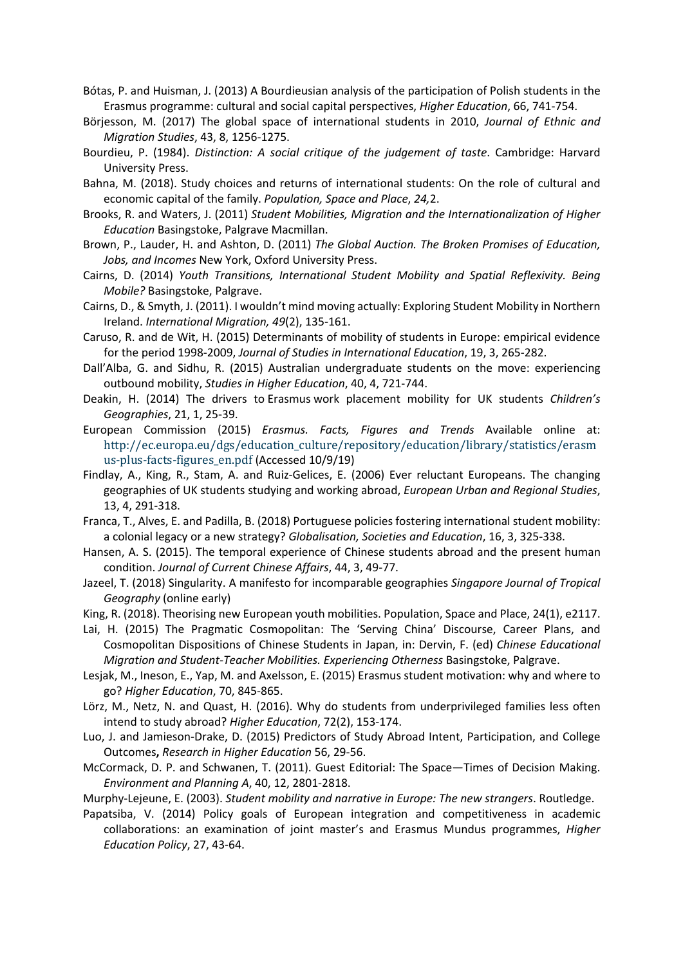- Bótas, P. and Huisman, J. (2013) A Bourdieusian analysis of the participation of Polish students in the Erasmus programme: cultural and social capital perspectives, *Higher Education*, 66, 741-754.
- Börjesson, M. (2017) The global space of international students in 2010, *Journal of Ethnic and Migration Studies*, 43, 8, 1256-1275.
- Bourdieu, P. (1984). *Distinction: A social critique of the judgement of taste*. Cambridge: Harvard University Press.
- Bahna, M. (2018). Study choices and returns of international students: On the role of cultural and economic capital of the family. *Population, Space and Place*, *24,*2.
- Brooks, R. and Waters, J. (2011) *Student Mobilities, Migration and the Internationalization of Higher Education* Basingstoke, Palgrave Macmillan.
- Brown, P., Lauder, H. and Ashton, D. (2011) *The Global Auction. The Broken Promises of Education, Jobs, and Incomes* New York, Oxford University Press.
- Cairns, D. (2014) *Youth Transitions, International Student Mobility and Spatial Reflexivity. Being Mobile?* Basingstoke, Palgrave.
- Cairns, D., & Smyth, J. (2011). I wouldn't mind moving actually: Exploring Student Mobility in Northern Ireland. *International Migration, 49*(2), 135-161.
- Caruso, R. and de Wit, H. (2015) Determinants of mobility of students in Europe: empirical evidence for the period 1998-2009, *Journal of Studies in International Education*, 19, 3, 265-282.
- Dall'Alba, G. and Sidhu, R. (2015) Australian undergraduate students on the move: experiencing outbound mobility, *Studies in Higher Education*, 40, 4, 721-744.
- Deakin, H. (2014) The drivers to Erasmus work placement mobility for UK students *Children's Geographies*, 21, 1, 25-39.
- European Commission (2015) *Erasmus. Facts, Figures and Trends* Available online at: http://ec.europa.eu/dgs/education\_culture/repository/education/library/statistics/erasm us-plus-facts-figures\_en.pdf (Accessed 10/9/19)
- Findlay, A., King, R., Stam, A. and Ruiz-Gelices, E. (2006) Ever reluctant Europeans. The changing geographies of UK students studying and working abroad, *European Urban and Regional Studies*, 13, 4, 291-318.
- Franca, T., Alves, E. and Padilla, B. (2018) Portuguese policies fostering international student mobility: a colonial legacy or a new strategy? *Globalisation, Societies and Education*, 16, 3, 325-338.
- Hansen, A. S. (2015). The temporal experience of Chinese students abroad and the present human condition. *Journal of Current Chinese Affairs*, 44, 3, 49-77.
- Jazeel, T. (2018) Singularity. A manifesto for incomparable geographies *Singapore Journal of Tropical Geography* (online early)
- King, R. (2018). Theorising new European youth mobilities. Population, Space and Place, 24(1), e2117.
- Lai, H. (2015) The Pragmatic Cosmopolitan: The 'Serving China' Discourse, Career Plans, and Cosmopolitan Dispositions of Chinese Students in Japan, in: Dervin, F. (ed) *Chinese Educational Migration and Student-Teacher Mobilities. Experiencing Otherness* Basingstoke, Palgrave.
- Lesjak, M., Ineson, E., Yap, M. and Axelsson, E. (2015) Erasmus student motivation: why and where to go? *Higher Education*, 70, 845-865.
- Lörz, M., Netz, N. and Quast, H. (2016). Why do students from underprivileged families less often intend to study abroad? *Higher Education*, 72(2), 153-174.
- Luo, J. and Jamieson-Drake, D. (2015) Predictors of Study Abroad Intent, Participation, and College Outcomes**,** *Research in Higher Education* 56, 29-56.
- McCormack, D. P. and Schwanen, T. (2011). Guest Editorial: The Space—Times of Decision Making. *Environment and Planning A*, 40, 12, 2801-2818.
- Murphy-Lejeune, E. (2003). *Student mobility and narrative in Europe: The new strangers*. Routledge.
- Papatsiba, V. (2014) Policy goals of European integration and competitiveness in academic collaborations: an examination of joint master's and Erasmus Mundus programmes, *Higher Education Policy*, 27, 43-64.